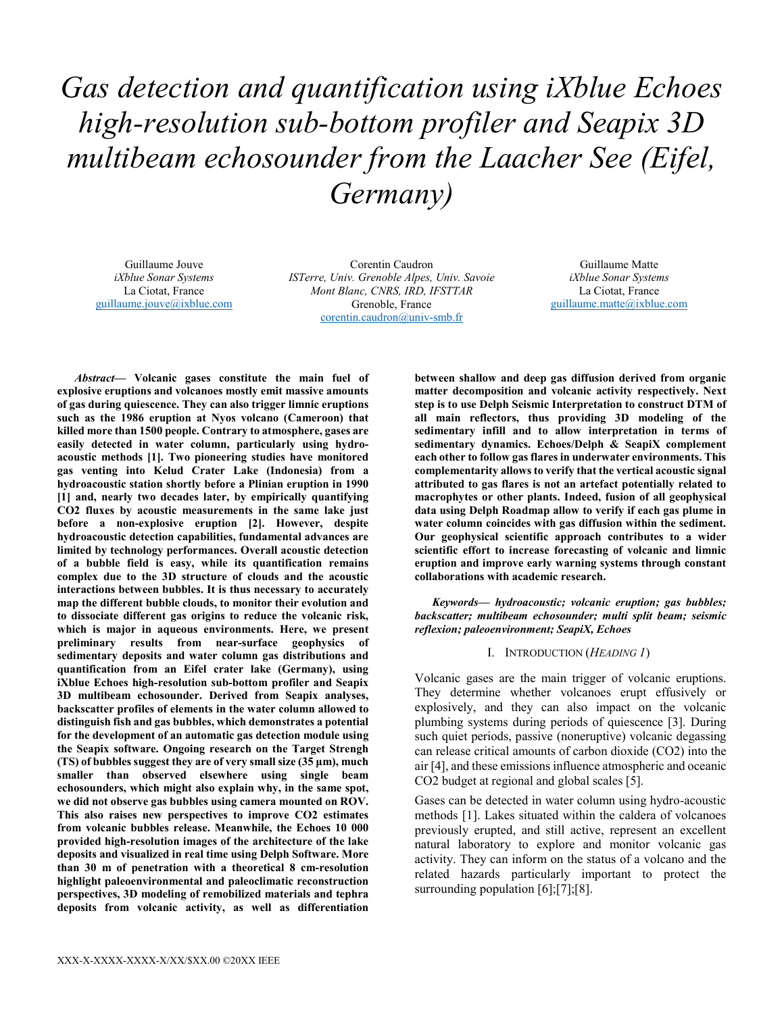*Gas detection and quantification using iXblue Echoes high-resolution sub-bottom profiler and Seapix 3D multibeam echosounder from the Laacher See (Eifel, Germany)* 

Guillaume Jouve *iXblue Sonar Systems*  La Ciotat, France guillaume.jouve@ixblue.com

Corentin Caudron *ISTerre, Univ. Grenoble Alpes, Univ. Savoie Mont Blanc, CNRS, IRD, IFSTTAR* Grenoble, France corentin.caudron@univ-smb.fr

Guillaume Matte *iXblue Sonar Systems*  La Ciotat, France guillaume.matte@ixblue.com

*Abstract***— Volcanic gases constitute the main fuel of explosive eruptions and volcanoes mostly emit massive amounts of gas during quiescence. They can also trigger limnic eruptions such as the 1986 eruption at Nyos volcano (Cameroon) that killed more than 1500 people. Contrary to atmosphere, gases are easily detected in water column, particularly using hydroacoustic methods [1]. Two pioneering studies have monitored gas venting into Kelud Crater Lake (Indonesia) from a hydroacoustic station shortly before a Plinian eruption in 1990 [1] and, nearly two decades later, by empirically quantifying CO2 fluxes by acoustic measurements in the same lake just before a non-explosive eruption [2]. However, despite hydroacoustic detection capabilities, fundamental advances are limited by technology performances. Overall acoustic detection of a bubble field is easy, while its quantification remains complex due to the 3D structure of clouds and the acoustic interactions between bubbles. It is thus necessary to accurately map the different bubble clouds, to monitor their evolution and to dissociate different gas origins to reduce the volcanic risk, which is major in aqueous environments. Here, we present preliminary results from near-surface geophysics of sedimentary deposits and water column gas distributions and quantification from an Eifel crater lake (Germany), using iXblue Echoes high-resolution sub-bottom profiler and Seapix 3D multibeam echosounder. Derived from Seapix analyses, backscatter profiles of elements in the water column allowed to distinguish fish and gas bubbles, which demonstrates a potential for the development of an automatic gas detection module using the Seapix software. Ongoing research on the Target Strengh (TS) of bubbles suggest they are of very small size (35 μm), much smaller than observed elsewhere using single beam echosounders, which might also explain why, in the same spot, we did not observe gas bubbles using camera mounted on ROV. This also raises new perspectives to improve CO2 estimates from volcanic bubbles release. Meanwhile, the Echoes 10 000 provided high-resolution images of the architecture of the lake deposits and visualized in real time using Delph Software. More than 30 m of penetration with a theoretical 8 cm-resolution highlight paleoenvironmental and paleoclimatic reconstruction perspectives, 3D modeling of remobilized materials and tephra deposits from volcanic activity, as well as differentiation** 

**between shallow and deep gas diffusion derived from organic matter decomposition and volcanic activity respectively. Next step is to use Delph Seismic Interpretation to construct DTM of all main reflectors, thus providing 3D modeling of the sedimentary infill and to allow interpretation in terms of sedimentary dynamics. Echoes/Delph & SeapiX complement each other to follow gas flares in underwater environments. This complementarity allows to verify that the vertical acoustic signal attributed to gas flares is not an artefact potentially related to macrophytes or other plants. Indeed, fusion of all geophysical data using Delph Roadmap allow to verify if each gas plume in water column coincides with gas diffusion within the sediment. Our geophysical scientific approach contributes to a wider scientific effort to increase forecasting of volcanic and limnic eruption and improve early warning systems through constant collaborations with academic research.**

*Keywords— hydroacoustic; volcanic eruption; gas bubbles; backscatter; multibeam echosounder; multi split beam; seismic reflexion; paleoenvironment; SeapiX, Echoes* 

# I. INTRODUCTION (*HEADING 1*)

Volcanic gases are the main trigger of volcanic eruptions. They determine whether volcanoes erupt effusively or explosively, and they can also impact on the volcanic plumbing systems during periods of quiescence [3]. During such quiet periods, passive (noneruptive) volcanic degassing can release critical amounts of carbon dioxide (CO2) into the air [4], and these emissions influence atmospheric and oceanic CO2 budget at regional and global scales [5].

Gases can be detected in water column using hydro-acoustic methods [1]. Lakes situated within the caldera of volcanoes previously erupted, and still active, represent an excellent natural laboratory to explore and monitor volcanic gas activity. They can inform on the status of a volcano and the related hazards particularly important to protect the surrounding population [6];[7];[8].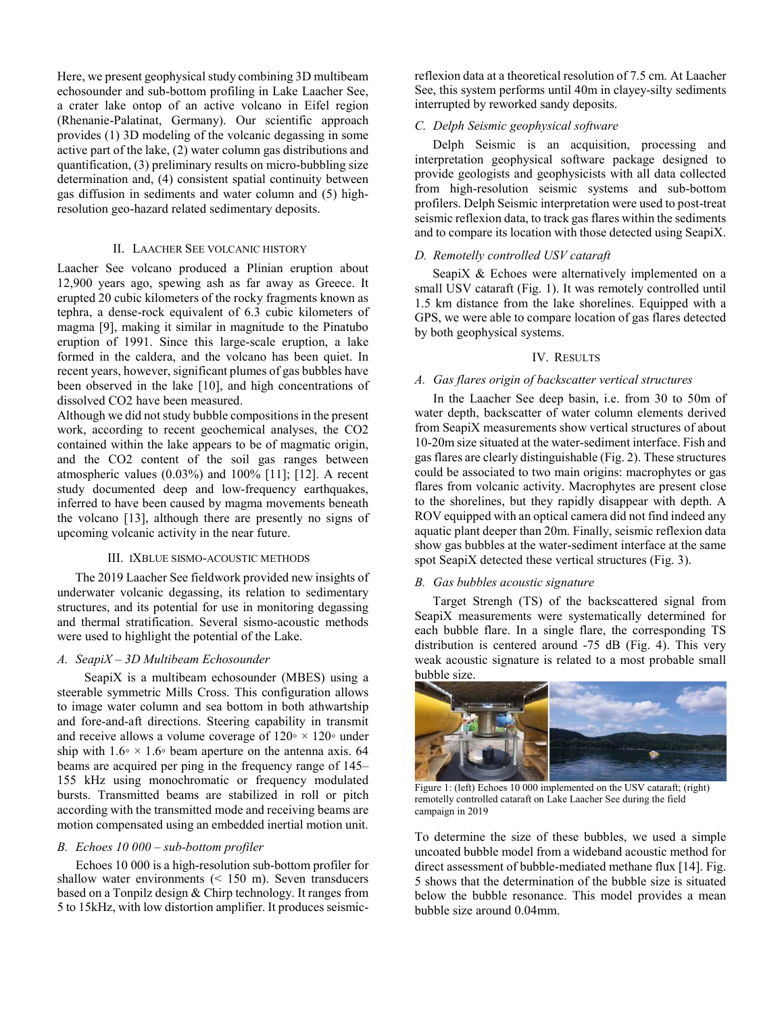Here, we present geophysical study combining 3D multibeam echosounder and sub-bottom profiling in Lake Laacher See, a crater lake ontop of an active volcano in Eifel region (Rhenanie-Palatinat, Germany). Our scientific approach provides (1) 3D modeling of the volcanic degassing in some active part of the lake, (2) water column gas distributions and quantification, (3) preliminary results on micro-bubbling size determination and, (4) consistent spatial continuity between gas diffusion in sediments and water column and (5) highresolution geo-hazard related sedimentary deposits.

## II. LAACHER SEE VOLCANIC HISTORY

Laacher See volcano produced a Plinian eruption about 12,900 years ago, spewing ash as far away as Greece. It erupted 20 cubic kilometers of the rocky fragments known as tephra, a dense-rock equivalent of 6.3 cubic kilometers of magma [9], making it similar in magnitude to the Pinatubo eruption of 1991. Since this large-scale eruption, a lake formed in the caldera, and the volcano has been quiet. In recent years, however, significant plumes of gas bubbles have been observed in the lake [10], and high concentrations of dissolved CO2 have been measured.

Although we did not study bubble compositions in the present work, according to recent geochemical analyses, the CO2 contained within the lake appears to be of magmatic origin, and the CO2 content of the soil gas ranges between atmospheric values (0.03%) and 100% [11]; [12]. A recent study documented deep and low-frequency earthquakes, inferred to have been caused by magma movements beneath the volcano [13], although there are presently no signs of upcoming volcanic activity in the near future.

### III. IXBLUE SISMO-ACOUSTIC METHODS

The 2019 Laacher See fieldwork provided new insights of underwater volcanic degassing, its relation to sedimentary structures, and its potential for use in monitoring degassing and thermal stratification. Several sismo-acoustic methods were used to highlight the potential of the Lake.

#### *A. SeapiX – 3D Multibeam Echosounder*

SeapiX is a multibeam echosounder (MBES) using a steerable symmetric Mills Cross. This configuration allows to image water column and sea bottom in both athwartship and fore-and-aft directions. Steering capability in transmit and receive allows a volume coverage of  $120° \times 120°$  under ship with  $1.6\degree \times 1.6\degree$  beam aperture on the antenna axis. 64 beams are acquired per ping in the frequency range of 145– 155 kHz using monochromatic or frequency modulated bursts. Transmitted beams are stabilized in roll or pitch according with the transmitted mode and receiving beams are motion compensated using an embedded inertial motion unit.

#### *B. Echoes 10 000 – sub-bottom profiler*

Echoes 10 000 is a high-resolution sub-bottom profiler for shallow water environments (< 150 m). Seven transducers based on a Tonpilz design & Chirp technology. It ranges from 5 to 15kHz, with low distortion amplifier. It produces seismicreflexion data at a theoretical resolution of 7.5 cm. At Laacher See, this system performs until 40m in clayey-silty sediments interrupted by reworked sandy deposits.

## *C. Delph Seismic geophysical software*

Delph Seismic is an acquisition, processing and interpretation geophysical software package designed to provide geologists and geophysicists with all data collected from high-resolution seismic systems and sub-bottom profilers. Delph Seismic interpretation were used to post-treat seismic reflexion data, to track gas flares within the sediments and to compare its location with those detected using SeapiX.

#### *D. Remotelly controlled USV cataraft*

SeapiX & Echoes were alternatively implemented on a small USV cataraft (Fig. 1). It was remotely controlled until 1.5 km distance from the lake shorelines. Equipped with a GPS, we were able to compare location of gas flares detected by both geophysical systems.

#### IV. RESULTS

## *A. Gas flares origin of backscatter vertical structures*

In the Laacher See deep basin, i.e. from 30 to 50m of water depth, backscatter of water column elements derived from SeapiX measurements show vertical structures of about 10-20m size situated at the water-sediment interface. Fish and gas flares are clearly distinguishable (Fig. 2). These structures could be associated to two main origins: macrophytes or gas flares from volcanic activity. Macrophytes are present close to the shorelines, but they rapidly disappear with depth. A ROV equipped with an optical camera did not find indeed any aquatic plant deeper than 20m. Finally, seismic reflexion data show gas bubbles at the water-sediment interface at the same spot SeapiX detected these vertical structures (Fig. 3).

#### *B. Gas bubbles acoustic signature*

Target Strengh (TS) of the backscattered signal from SeapiX measurements were systematically determined for each bubble flare. In a single flare, the corresponding TS distribution is centered around -75 dB (Fig. 4). This very weak acoustic signature is related to a most probable small bubble size.



Figure 1: (left) Echoes 10 000 implemented on the USV cataraft; (right) remotelly controlled cataraft on Lake Laacher See during the field campaign in 2019

To determine the size of these bubbles, we used a simple uncoated bubble model from a wideband acoustic method for direct assessment of bubble-mediated methane flux [14]. Fig. 5 shows that the determination of the bubble size is situated below the bubble resonance. This model provides a mean bubble size around 0.04mm.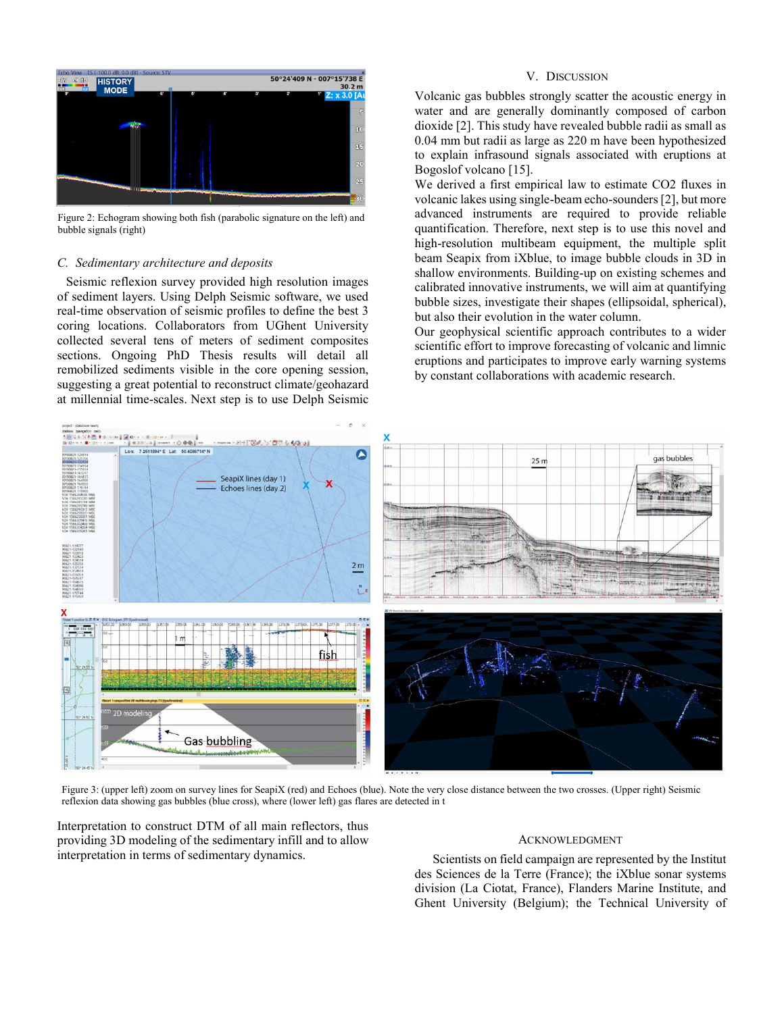

Figure 2: Echogram showing both fish (parabolic signature on the left) and bubble signals (right)

#### *C. Sedimentary architecture and deposits*

Seismic reflexion survey provided high resolution images of sediment layers. Using Delph Seismic software, we used real-time observation of seismic profiles to define the best 3 coring locations. Collaborators from UGhent University collected several tens of meters of sediment composites sections. Ongoing PhD Thesis results will detail all remobilized sediments visible in the core opening session, suggesting a great potential to reconstruct climate/geohazard at millennial time-scales. Next step is to use Delph Seismic

## V. DISCUSSION

Volcanic gas bubbles strongly scatter the acoustic energy in water and are generally dominantly composed of carbon dioxide [2]. This study have revealed bubble radii as small as 0.04 mm but radii as large as 220 m have been hypothesized to explain infrasound signals associated with eruptions at Bogoslof volcano [15].

We derived a first empirical law to estimate CO2 fluxes in volcanic lakes using single-beam echo-sounders [2], but more advanced instruments are required to provide reliable quantification. Therefore, next step is to use this novel and high-resolution multibeam equipment, the multiple split beam Seapix from iXblue, to image bubble clouds in 3D in shallow environments. Building-up on existing schemes and calibrated innovative instruments, we will aim at quantifying bubble sizes, investigate their shapes (ellipsoidal, spherical), but also their evolution in the water column.

Our geophysical scientific approach contributes to a wider scientific effort to improve forecasting of volcanic and limnic eruptions and participates to improve early warning systems by constant collaborations with academic research.



Figure 3: (upper left) zoom on survey lines for SeapiX (red) and Echoes (blue). Note the very close distance between the two crosses. (Upper right) Seismic reflexion data showing gas bubbles (blue cross), where (lower left) gas flares are detected in t

Interpretation to construct DTM of all main reflectors, thus providing 3D modeling of the sedimentary infill and to allow interpretation in terms of sedimentary dynamics.

#### **ACKNOWLEDGMENT**

Scientists on field campaign are represented by the Institut des Sciences de la Terre (France); the iXblue sonar systems division (La Ciotat, France), Flanders Marine Institute, and Ghent University (Belgium); the Technical University of